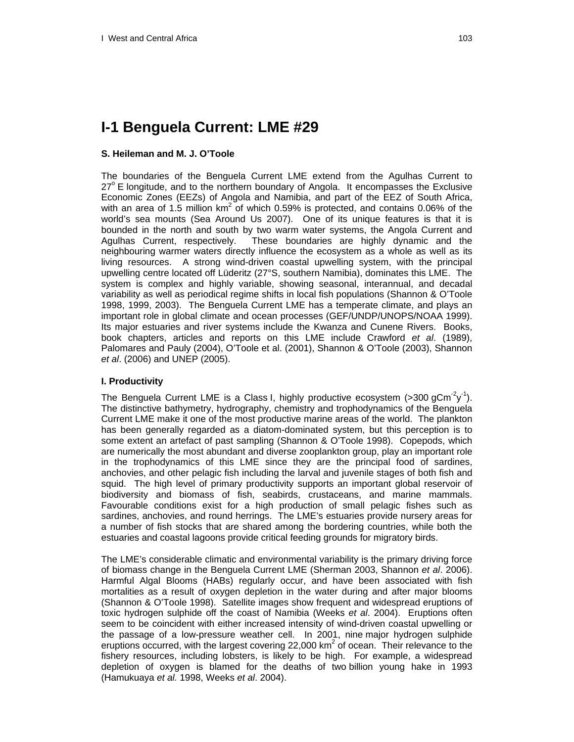# **I-1 Benguela Current: LME #29**

## **S. Heileman and M. J. O'Toole**

The boundaries of the Benguela Current LME extend from the Agulhas Current to 27° E longitude, and to the northern boundary of Angola. It encompasses the Exclusive Economic Zones (EEZs) of Angola and Namibia, and part of the EEZ of South Africa, with an area of 1.5 million  $km^2$  of which 0.59% is protected, and contains 0.06% of the world's sea mounts (Sea Around Us 2007). One of its unique features is that it is bounded in the north and south by two warm water systems, the Angola Current and Agulhas Current, respectively. These boundaries are highly dynamic and the neighbouring warmer waters directly influence the ecosystem as a whole as well as its living resources. A strong wind-driven coastal upwelling system, with the principal upwelling centre located off Lüderitz (27°S, southern Namibia), dominates this LME. The system is complex and highly variable, showing seasonal, interannual, and decadal variability as well as periodical regime shifts in local fish populations (Shannon & O'Toole 1998, 1999, 2003). The Benguela Current LME has a temperate climate, and plays an important role in global climate and ocean processes (GEF/UNDP/UNOPS/NOAA 1999). Its major estuaries and river systems include the Kwanza and Cunene Rivers. Books, book chapters, articles and reports on this LME include Crawford *et al*. (1989), Palomares and Pauly (2004), O'Toole et al. (2001), Shannon & O'Toole (2003), Shannon *et al*. (2006) and UNEP (2005).

## **I. Productivity**

The Benguela Current LME is a Class I, highly productive ecosystem (>300 gCm<sup>-2</sup>y<sup>-1</sup>). The distinctive bathymetry, hydrography, chemistry and trophodynamics of the Benguela Current LME make it one of the most productive marine areas of the world. The plankton has been generally regarded as a diatom-dominated system, but this perception is to some extent an artefact of past sampling (Shannon & O'Toole 1998).Copepods, which are numerically the most abundant and diverse zooplankton group, play an important role in the trophodynamics of this LME since they are the principal food of sardines, anchovies, and other pelagic fish including the larval and juvenile stages of both fish and squid. The high level of primary productivity supports an important global reservoir of biodiversity and biomass of fish, seabirds, crustaceans, and marine mammals. Favourable conditions exist for a high production of small pelagic fishes such as sardines, anchovies, and round herrings. The LME's estuaries provide nursery areas for a number of fish stocks that are shared among the bordering countries, while both the estuaries and coastal lagoons provide critical feeding grounds for migratory birds.

The LME's considerable climatic and environmental variability is the primary driving force of biomass change in the Benguela Current LME (Sherman 2003, Shannon *et al*. 2006). Harmful Algal Blooms (HABs) regularly occur, and have been associated with fish mortalities as a result of oxygen depletion in the water during and after major blooms (Shannon & O'Toole 1998). Satellite images show frequent and widespread eruptions of toxic hydrogen sulphide off the coast of Namibia (Weeks *et al*. 2004). Eruptions often seem to be coincident with either increased intensity of wind-driven coastal upwelling or the passage of a low-pressure weather cell. In 2001, nine major hydrogen sulphide eruptions occurred, with the largest covering 22,000 km<sup>2</sup> of ocean. Their relevance to the fishery resources, including lobsters, is likely to be high. For example, a widespread depletion of oxygen is blamed for the deaths of two billion young hake in 1993 (Hamukuaya *et al.* 1998, Weeks *et al*. 2004).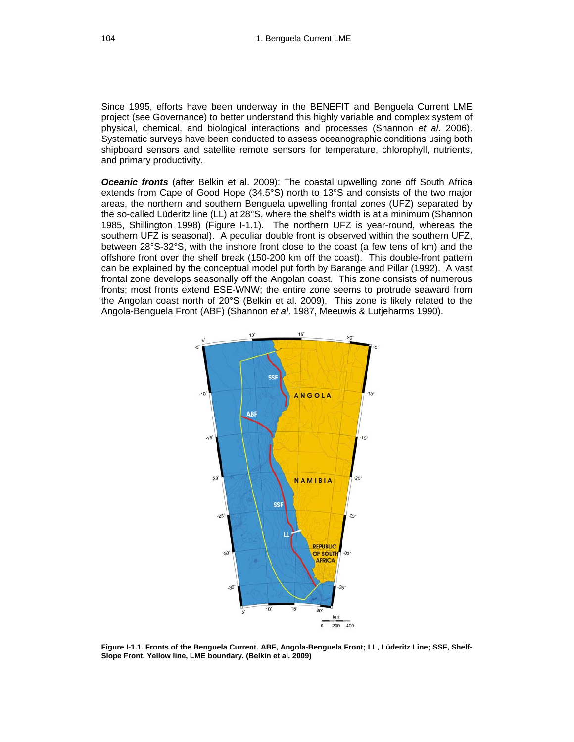Since 1995, efforts have been underway in the BENEFIT and Benguela Current LME project (see Governance) to better understand this highly variable and complex system of physical, chemical, and biological interactions and processes (Shannon *et al*. 2006). Systematic surveys have been conducted to assess oceanographic conditions using both shipboard sensors and satellite remote sensors for temperature, chlorophyll, nutrients, and primary productivity.

*Oceanic fronts* (after Belkin et al. 2009): The coastal upwelling zone off South Africa extends from Cape of Good Hope (34.5°S) north to 13°S and consists of the two major areas, the northern and southern Benguela upwelling frontal zones (UFZ) separated by the so-called Lüderitz line (LL) at 28°S, where the shelf's width is at a minimum (Shannon 1985, Shillington 1998) (Figure I-1.1). The northern UFZ is year-round, whereas the southern UFZ is seasonal). A peculiar double front is observed within the southern UFZ, between 28°S-32°S, with the inshore front close to the coast (a few tens of km) and the offshore front over the shelf break (150-200 km off the coast). This double-front pattern can be explained by the conceptual model put forth by Barange and Pillar (1992). A vast frontal zone develops seasonally off the Angolan coast. This zone consists of numerous fronts; most fronts extend ESE-WNW; the entire zone seems to protrude seaward from the Angolan coast north of 20°S (Belkin et al. 2009). This zone is likely related to the Angola-Benguela Front (ABF) (Shannon *et al*. 1987, Meeuwis & Lutjeharms 1990).



**Figure I-1.1. Fronts of the Benguela Current. ABF, Angola-Benguela Front; LL, Lüderitz Line; SSF, Shelf-Slope Front. Yellow line, LME boundary. (Belkin et al. 2009)**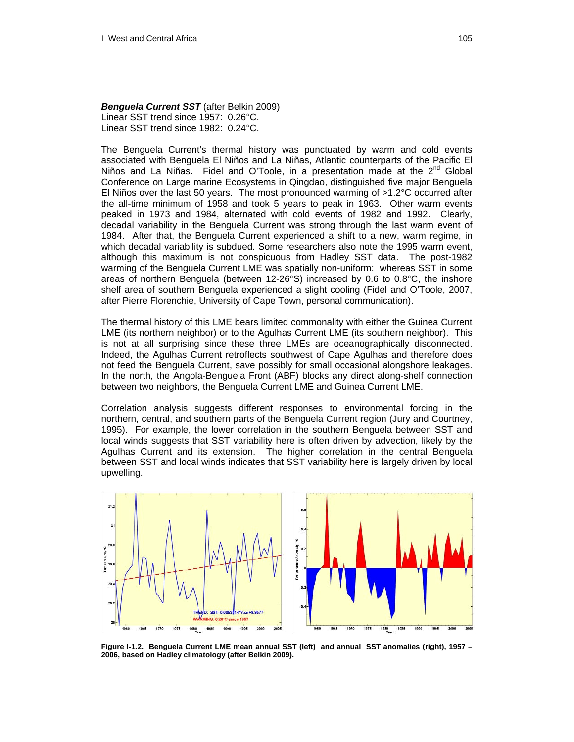#### *Benguela Current SST* (after Belkin 2009)

Linear SST trend since 1957: 0.26°C. Linear SST trend since 1982: 0.24°C.

The Benguela Current's thermal history was punctuated by warm and cold events associated with Benguela El Niños and La Niñas, Atlantic counterparts of the Pacific El Niños and La Niñas. Fidel and O'Toole, in a presentation made at the  $2^{nd}$  Global Conference on Large marine Ecosystems in Qingdao, distinguished five major Benguela El Niños over the last 50 years. The most pronounced warming of >1.2°C occurred after the all-time minimum of 1958 and took 5 years to peak in 1963. Other warm events peaked in 1973 and 1984, alternated with cold events of 1982 and 1992. Clearly, decadal variability in the Benguela Current was strong through the last warm event of 1984. After that, the Benguela Current experienced a shift to a new, warm regime, in which decadal variability is subdued. Some researchers also note the 1995 warm event, although this maximum is not conspicuous from Hadley SST data. The post-1982 warming of the Benguela Current LME was spatially non-uniform: whereas SST in some areas of northern Benguela (between  $12-26°S$ ) increased by 0.6 to 0.8°C, the inshore shelf area of southern Benguela experienced a slight cooling (Fidel and O'Toole, 2007, after Pierre Florenchie, University of Cape Town, personal communication).

The thermal history of this LME bears limited commonality with either the Guinea Current LME (its northern neighbor) or to the Agulhas Current LME (its southern neighbor). This is not at all surprising since these three LMEs are oceanographically disconnected. Indeed, the Agulhas Current retroflects southwest of Cape Agulhas and therefore does not feed the Benguela Current, save possibly for small occasional alongshore leakages. In the north, the Angola-Benguela Front (ABF) blocks any direct along-shelf connection between two neighbors, the Benguela Current LME and Guinea Current LME.

Correlation analysis suggests different responses to environmental forcing in the northern, central, and southern parts of the Benguela Current region (Jury and Courtney, 1995). For example, the lower correlation in the southern Benguela between SST and local winds suggests that SST variability here is often driven by advection, likely by the Agulhas Current and its extension. The higher correlation in the central Benguela between SST and local winds indicates that SST variability here is largely driven by local upwelling.



**Figure I-1.2. Benguela Current LME mean annual SST (left) and annual SST anomalies (right), 1957 – 2006, based on Hadley climatology (after Belkin 2009).**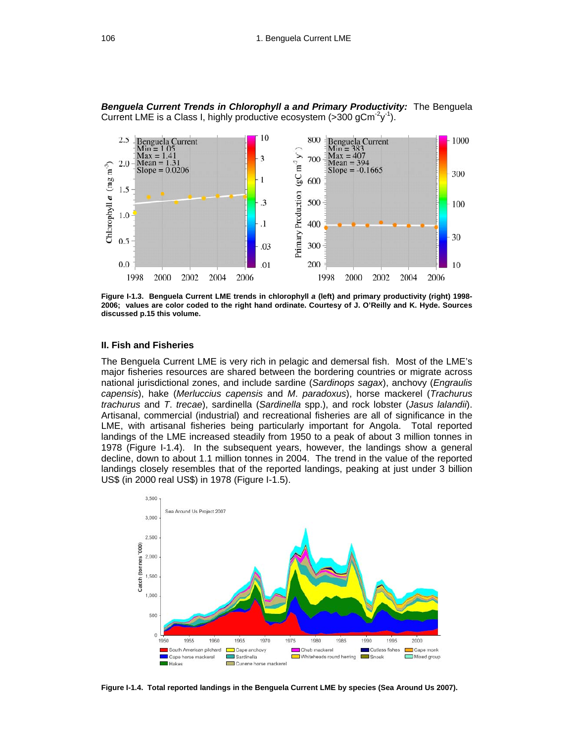**Benguela Current Trends in Chlorophyll a and Primary Productivity:** The Benguela Current LME is a Class I, highly productive ecosystem (>300 gCm<sup>-2</sup>y<sup>-1</sup>).



**Figure I-1.3. Benguela Current LME trends in chlorophyll** *a* **(left) and primary productivity (right) 1998- 2006; values are color coded to the right hand ordinate. Courtesy of J. O'Reilly and K. Hyde. Sources discussed p.15 this volume.** 

#### **II. Fish and Fisheries**

The Benguela Current LME is very rich in pelagic and demersal fish. Most of the LME's major fisheries resources are shared between the bordering countries or migrate across national jurisdictional zones, and include sardine (*Sardinops sagax*), anchovy (*Engraulis capensis*), hake (*Merluccius capensis* and *M*. *paradoxus*), horse mackerel (*Trachurus trachurus* and *T*. *trecae*), sardinella (*Sardinella* spp.), and rock lobster (*Jasus lalandii*). Artisanal, commercial (industrial) and recreational fisheries are all of significance in the LME, with artisanal fisheries being particularly important for Angola. Total reported landings of the LME increased steadily from 1950 to a peak of about 3 million tonnes in 1978 (Figure I-1.4). In the subsequent years, however, the landings show a general decline, down to about 1.1 million tonnes in 2004. The trend in the value of the reported landings closely resembles that of the reported landings, peaking at just under 3 billion US\$ (in 2000 real US\$) in 1978 (Figure I-1.5).



**Figure I-1.4. Total reported landings in the Benguela Current LME by species (Sea Around Us 2007).**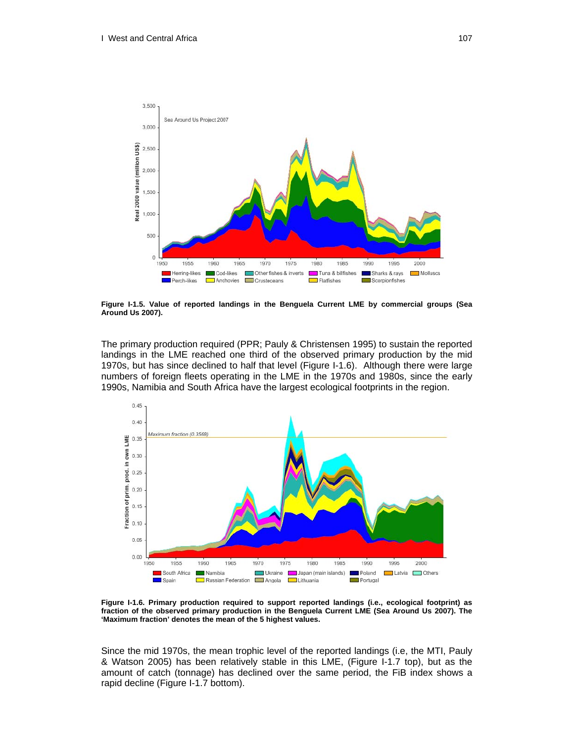

**Figure I-1.5. Value of reported landings in the Benguela Current LME by commercial groups (Sea Around Us 2007).** 

The primary production required (PPR; Pauly & Christensen 1995) to sustain the reported landings in the LME reached one third of the observed primary production by the mid 1970s, but has since declined to half that level (Figure I-1.6). Although there were large numbers of foreign fleets operating in the LME in the 1970s and 1980s, since the early 1990s, Namibia and South Africa have the largest ecological footprints in the region.



**Figure I-1.6. Primary production required to support reported landings (i.e., ecological footprint) as fraction of the observed primary production in the Benguela Current LME (Sea Around Us 2007). The 'Maximum fraction' denotes the mean of the 5 highest values.** 

Since the mid 1970s, the mean trophic level of the reported landings (i.e, the MTI, Pauly & Watson 2005) has been relatively stable in this LME, (Figure I-1.7 top), but as the amount of catch (tonnage) has declined over the same period, the FiB index shows a rapid decline (Figure I-1.7 bottom).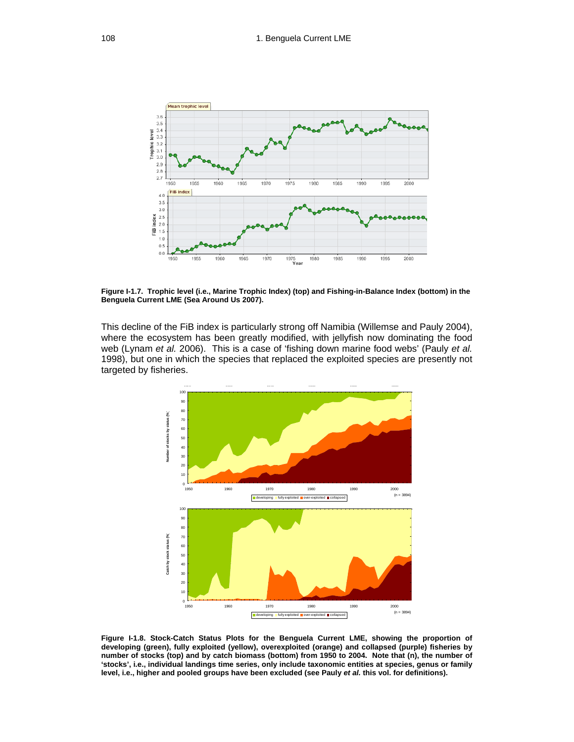

**Figure I-1.7. Trophic level (i.e., Marine Trophic Index) (top) and Fishing-in-Balance Index (bottom) in the Benguela Current LME (Sea Around Us 2007).** 

This decline of the FiB index is particularly strong off Namibia (Willemse and Pauly 2004), where the ecosystem has been greatly modified, with jellyfish now dominating the food web (Lynam *et al.* 2006). This is a case of 'fishing down marine food webs' (Pauly *et al.*  1998), but one in which the species that replaced the exploited species are presently not targeted by fisheries.



**Figure I-1.8. Stock-Catch Status Plots for the Benguela Current LME, showing the proportion of developing (green), fully exploited (yellow), overexploited (orange) and collapsed (purple) fisheries by number of stocks (top) and by catch biomass (bottom) from 1950 to 2004. Note that (n), the number of 'stocks', i.e., individual landings time series, only include taxonomic entities at species, genus or family level, i.e., higher and pooled groups have been excluded (see Pauly** *et al.* **this vol. for definitions).**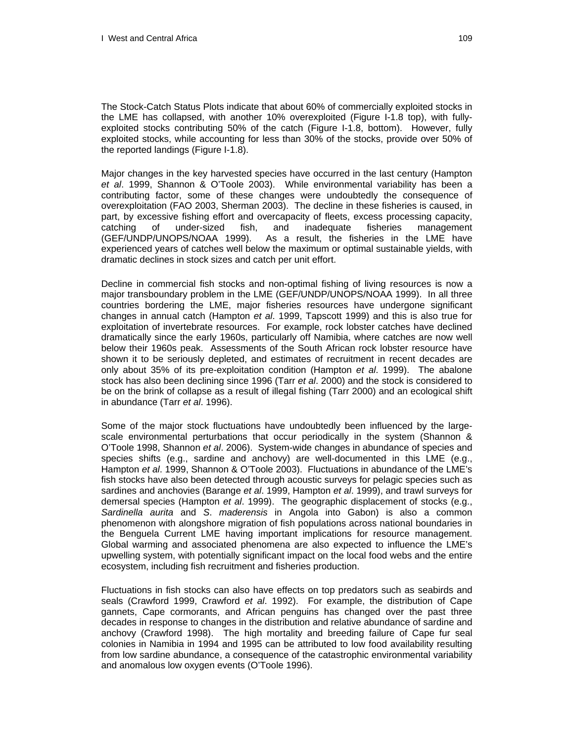The Stock-Catch Status Plots indicate that about 60% of commercially exploited stocks in the LME has collapsed, with another 10% overexploited (Figure I-1.8 top), with fullyexploited stocks contributing 50% of the catch (Figure I-1.8, bottom). However, fully exploited stocks, while accounting for less than 30% of the stocks, provide over 50% of the reported landings (Figure I-1.8).

Major changes in the key harvested species have occurred in the last century (Hampton *et al*. 1999, Shannon & O'Toole 2003). While environmental variability has been a contributing factor, some of these changes were undoubtedly the consequence of overexploitation (FAO 2003, Sherman 2003). The decline in these fisheries is caused, in part, by excessive fishing effort and overcapacity of fleets, excess processing capacity, catching of under-sized fish, and inadequate fisheries management (GEF/UNDP/UNOPS/NOAA 1999). As a result, the fisheries in the LME have experienced years of catches well below the maximum or optimal sustainable yields, with dramatic declines in stock sizes and catch per unit effort.

Decline in commercial fish stocks and non-optimal fishing of living resources is now a major transboundary problem in the LME (GEF/UNDP/UNOPS/NOAA 1999). In all three countries bordering the LME, major fisheries resources have undergone significant changes in annual catch (Hampton *et al*. 1999, Tapscott 1999) and this is also true for exploitation of invertebrate resources. For example, rock lobster catches have declined dramatically since the early 1960s, particularly off Namibia, where catches are now well below their 1960s peak. Assessments of the South African rock lobster resource have shown it to be seriously depleted, and estimates of recruitment in recent decades are only about 35% of its pre-exploitation condition (Hampton *et al*. 1999). The abalone stock has also been declining since 1996 (Tarr *et al*. 2000) and the stock is considered to be on the brink of collapse as a result of illegal fishing (Tarr 2000) and an ecological shift in abundance (Tarr *et al*. 1996).

Some of the major stock fluctuations have undoubtedly been influenced by the largescale environmental perturbations that occur periodically in the system (Shannon & O'Toole 1998, Shannon *et al*. 2006). System-wide changes in abundance of species and species shifts (e.g., sardine and anchovy) are well-documented in this LME (e.g., Hampton *et al*. 1999, Shannon & O'Toole 2003).Fluctuations in abundance of the LME's fish stocks have also been detected through acoustic surveys for pelagic species such as sardines and anchovies (Barange *et al*. 1999, Hampton *et al*. 1999), and trawl surveys for demersal species (Hampton *et al*. 1999). The geographic displacement of stocks (e.g., *Sardinella aurita* and *S*. *maderensis* in Angola into Gabon) is also a common phenomenon with alongshore migration of fish populations across national boundaries in the Benguela Current LME having important implications for resource management. Global warming and associated phenomena are also expected to influence the LME's upwelling system, with potentially significant impact on the local food webs and the entire ecosystem, including fish recruitment and fisheries production.

Fluctuations in fish stocks can also have effects on top predators such as seabirds and seals (Crawford 1999, Crawford *et al*. 1992). For example, the distribution of Cape gannets, Cape cormorants, and African penguins has changed over the past three decades in response to changes in the distribution and relative abundance of sardine and anchovy (Crawford 1998). The high mortality and breeding failure of Cape fur seal colonies in Namibia in 1994 and 1995 can be attributed to low food availability resulting from low sardine abundance, a consequence of the catastrophic environmental variability and anomalous low oxygen events (O'Toole 1996).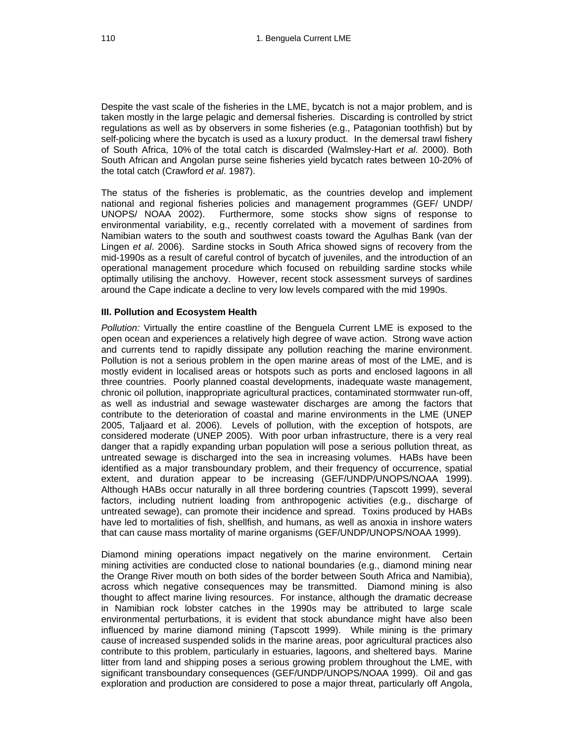Despite the vast scale of the fisheries in the LME, bycatch is not a major problem, and is taken mostly in the large pelagic and demersal fisheries. Discarding is controlled by strict regulations as well as by observers in some fisheries (e.g., Patagonian toothfish) but by self-policing where the bycatch is used as a luxury product. In the demersal trawl fishery of South Africa, 10% of the total catch is discarded (Walmsley-Hart *et al*. 2000). Both South African and Angolan purse seine fisheries yield bycatch rates between 10-20% of the total catch (Crawford *et al*. 1987).

The status of the fisheries is problematic, as the countries develop and implement national and regional fisheries policies and management programmes (GEF/ UNDP/ UNOPS/ NOAA 2002). Furthermore, some stocks show signs of response to environmental variability, e.g., recently correlated with a movement of sardines from Namibian waters to the south and southwest coasts toward the Agulhas Bank (van der Lingen *et al*. 2006). Sardine stocks in South Africa showed signs of recovery from the mid-1990s as a result of careful control of bycatch of juveniles, and the introduction of an operational management procedure which focused on rebuilding sardine stocks while optimally utilising the anchovy. However, recent stock assessment surveys of sardines around the Cape indicate a decline to very low levels compared with the mid 1990s.

### **III. Pollution and Ecosystem Health**

*Pollution:* Virtually the entire coastline of the Benguela Current LME is exposed to the open ocean and experiences a relatively high degree of wave action. Strong wave action and currents tend to rapidly dissipate any pollution reaching the marine environment. Pollution is not a serious problem in the open marine areas of most of the LME, and is mostly evident in localised areas or hotspots such as ports and enclosed lagoons in all three countries. Poorly planned coastal developments, inadequate waste management, chronic oil pollution, inappropriate agricultural practices, contaminated stormwater run-off, as well as industrial and sewage wastewater discharges are among the factors that contribute to the deterioration of coastal and marine environments in the LME (UNEP 2005, Taljaard et al. 2006). Levels of pollution, with the exception of hotspots, are considered moderate (UNEP 2005). With poor urban infrastructure, there is a very real danger that a rapidly expanding urban population will pose a serious pollution threat, as untreated sewage is discharged into the sea in increasing volumes. HABs have been identified as a major transboundary problem, and their frequency of occurrence, spatial extent, and duration appear to be increasing (GEF/UNDP/UNOPS/NOAA 1999). Although HABs occur naturally in all three bordering countries (Tapscott 1999), several factors, including nutrient loading from anthropogenic activities (e.g., discharge of untreated sewage), can promote their incidence and spread. Toxins produced by HABs have led to mortalities of fish, shellfish, and humans, as well as anoxia in inshore waters that can cause mass mortality of marine organisms (GEF/UNDP/UNOPS/NOAA 1999).

Diamond mining operations impact negatively on the marine environment. Certain mining activities are conducted close to national boundaries (e.g., diamond mining near the Orange River mouth on both sides of the border between South Africa and Namibia), across which negative consequences may be transmitted. Diamond mining is also thought to affect marine living resources. For instance, although the dramatic decrease in Namibian rock lobster catches in the 1990s may be attributed to large scale environmental perturbations, it is evident that stock abundance might have also been influenced by marine diamond mining (Tapscott 1999). While mining is the primary cause of increased suspended solids in the marine areas, poor agricultural practices also contribute to this problem, particularly in estuaries, lagoons, and sheltered bays. Marine litter from land and shipping poses a serious growing problem throughout the LME, with significant transboundary consequences (GEF/UNDP/UNOPS/NOAA 1999). Oil and gas exploration and production are considered to pose a major threat, particularly off Angola,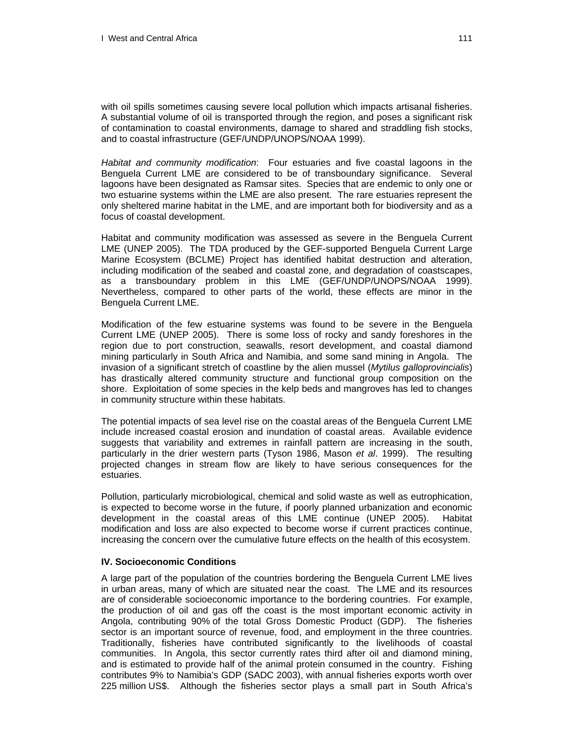with oil spills sometimes causing severe local pollution which impacts artisanal fisheries. A substantial volume of oil is transported through the region, and poses a significant risk of contamination to coastal environments, damage to shared and straddling fish stocks, and to coastal infrastructure (GEF/UNDP/UNOPS/NOAA 1999).

*Habitat and community modification*: Four estuaries and five coastal lagoons in the Benguela Current LME are considered to be of transboundary significance. Several lagoons have been designated as Ramsar sites. Species that are endemic to only one or two estuarine systems within the LME are also present. The rare estuaries represent the only sheltered marine habitat in the LME, and are important both for biodiversity and as a focus of coastal development.

Habitat and community modification was assessed as severe in the Benguela Current LME (UNEP 2005). The TDA produced by the GEF-supported Benguela Current Large Marine Ecosystem (BCLME) Project has identified habitat destruction and alteration, including modification of the seabed and coastal zone, and degradation of coastscapes, as a transboundary problem in this LME (GEF/UNDP/UNOPS/NOAA 1999). Nevertheless, compared to other parts of the world, these effects are minor in the Benguela Current LME.

Modification of the few estuarine systems was found to be severe in the Benguela Current LME (UNEP 2005). There is some loss of rocky and sandy foreshores in the region due to port construction, seawalls, resort development, and coastal diamond mining particularly in South Africa and Namibia, and some sand mining in Angola. The invasion of a significant stretch of coastline by the alien mussel (*Mytilus galloprovincialis*) has drastically altered community structure and functional group composition on the shore. Exploitation of some species in the kelp beds and mangroves has led to changes in community structure within these habitats.

The potential impacts of sea level rise on the coastal areas of the Benguela Current LME include increased coastal erosion and inundation of coastal areas. Available evidence suggests that variability and extremes in rainfall pattern are increasing in the south, particularly in the drier western parts (Tyson 1986, Mason *et al*. 1999). The resulting projected changes in stream flow are likely to have serious consequences for the estuaries.

Pollution, particularly microbiological, chemical and solid waste as well as eutrophication, is expected to become worse in the future, if poorly planned urbanization and economic development in the coastal areas of this LME continue (UNEP 2005). Habitat modification and loss are also expected to become worse if current practices continue, increasing the concern over the cumulative future effects on the health of this ecosystem.

#### **IV. Socioeconomic Conditions**

A large part of the population of the countries bordering the Benguela Current LME lives in urban areas, many of which are situated near the coast. The LME and its resources are of considerable socioeconomic importance to the bordering countries. For example, the production of oil and gas off the coast is the most important economic activity in Angola, contributing 90% of the total Gross Domestic Product (GDP). The fisheries sector is an important source of revenue, food, and employment in the three countries. Traditionally, fisheries have contributed significantly to the livelihoods of coastal communities. In Angola, this sector currently rates third after oil and diamond mining, and is estimated to provide half of the animal protein consumed in the country. Fishing contributes 9% to Namibia's GDP (SADC 2003), with annual fisheries exports worth over 225 million US\$.Although the fisheries sector plays a small part in South Africa's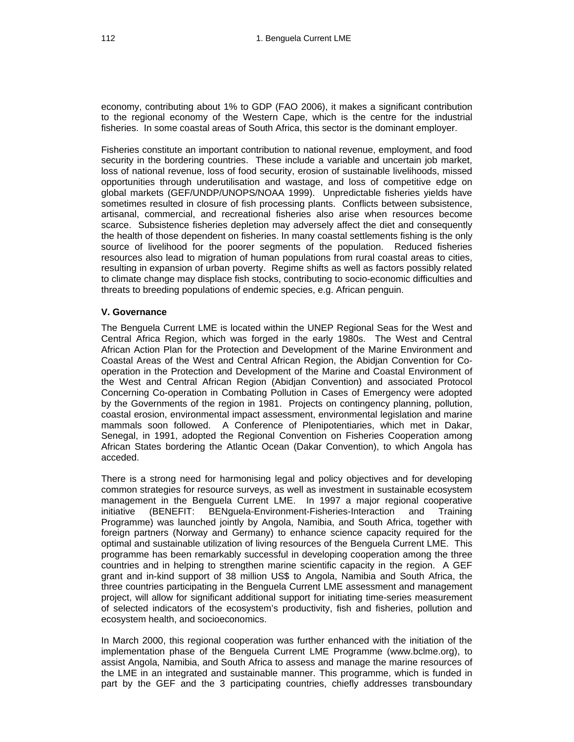economy, contributing about 1% to GDP (FAO 2006), it makes a significant contribution to the regional economy of the Western Cape, which is the centre for the industrial fisheries. In some coastal areas of South Africa, this sector is the dominant employer.

Fisheries constitute an important contribution to national revenue, employment, and food security in the bordering countries. These include a variable and uncertain job market, loss of national revenue, loss of food security, erosion of sustainable livelihoods, missed opportunities through underutilisation and wastage, and loss of competitive edge on global markets (GEF/UNDP/UNOPS/NOAA 1999). Unpredictable fisheries yields have sometimes resulted in closure of fish processing plants. Conflicts between subsistence, artisanal, commercial, and recreational fisheries also arise when resources become scarce. Subsistence fisheries depletion may adversely affect the diet and consequently the health of those dependent on fisheries. In many coastal settlements fishing is the only source of livelihood for the poorer segments of the population. Reduced fisheries resources also lead to migration of human populations from rural coastal areas to cities, resulting in expansion of urban poverty. Regime shifts as well as factors possibly related to climate change may displace fish stocks, contributing to socio-economic difficulties and threats to breeding populations of endemic species, e.g. African penguin.

## **V. Governance**

The Benguela Current LME is located within the UNEP Regional Seas for the West and Central Africa Region, which was forged in the early 1980s. The West and Central African Action Plan for the Protection and Development of the Marine Environment and Coastal Areas of the West and Central African Region, the Abidjan Convention for Cooperation in the Protection and Development of the Marine and Coastal Environment of the West and Central African Region (Abidjan Convention) and associated Protocol Concerning Co-operation in Combating Pollution in Cases of Emergency were adopted by the Governments of the region in 1981. Projects on contingency planning, pollution, coastal erosion, environmental impact assessment, environmental legislation and marine mammals soon followed. A Conference of Plenipotentiaries, which met in Dakar, Senegal, in 1991, adopted the Regional Convention on Fisheries Cooperation among African States bordering the Atlantic Ocean (Dakar Convention), to which Angola has acceded.

There is a strong need for harmonising legal and policy objectives and for developing common strategies for resource surveys, as well as investment in sustainable ecosystem management in the Benguela Current LME. In 1997 a major regional cooperative initiative (BENEFIT: BENguela-Environment-Fisheries-Interaction and Training Programme) was launched jointly by Angola, Namibia, and South Africa, together with foreign partners (Norway and Germany) to enhance science capacity required for the optimal and sustainable utilization of living resources of the Benguela Current LME. This programme has been remarkably successful in developing cooperation among the three countries and in helping to strengthen marine scientific capacity in the region. A GEF grant and in-kind support of 38 million US\$ to Angola, Namibia and South Africa, the three countries participating in the Benguela Current LME assessment and management project, will allow for significant additional support for initiating time-series measurement of selected indicators of the ecosystem's productivity, fish and fisheries, pollution and ecosystem health, and socioeconomics.

In March 2000, this regional cooperation was further enhanced with the initiation of the implementation phase of the Benguela Current LME Programme (www.bclme.org), to assist Angola, Namibia, and South Africa to assess and manage the marine resources of the LME in an integrated and sustainable manner. This programme, which is funded in part by the GEF and the 3 participating countries, chiefly addresses transboundary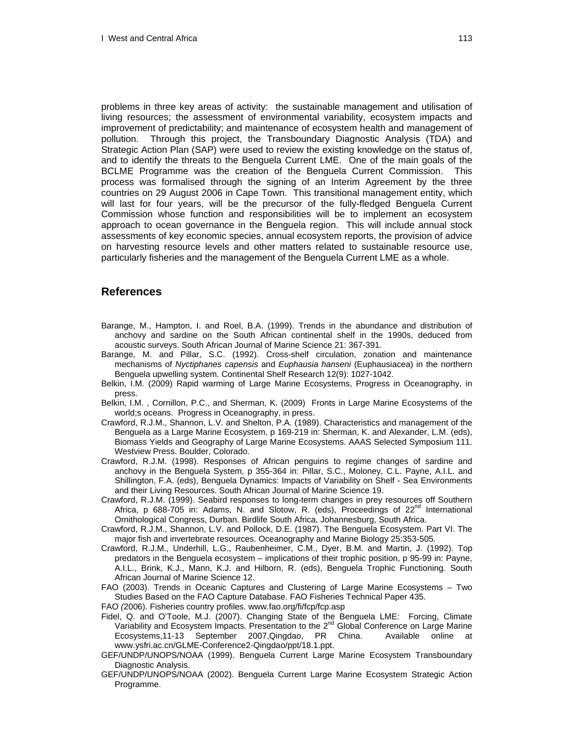problems in three key areas of activity: the sustainable management and utilisation of living resources; the assessment of environmental variability, ecosystem impacts and improvement of predictability; and maintenance of ecosystem health and management of pollution. Through this project, the Transboundary Diagnostic Analysis (TDA) and Strategic Action Plan (SAP) were used to review the existing knowledge on the status of, and to identify the threats to the Benguela Current LME. One of the main goals of the BCLME Programme was the creation of the Benguela Current Commission. This process was formalised through the signing of an Interim Agreement by the three countries on 29 August 2006 in Cape Town. This transitional management entity, which will last for four years, will be the precursor of the fully-fledged Benguela Current Commission whose function and responsibilities will be to implement an ecosystem approach to ocean governance in the Benguela region. This will include annual stock assessments of key economic species, annual ecosystem reports, the provision of advice on harvesting resource levels and other matters related to sustainable resource use, particularly fisheries and the management of the Benguela Current LME as a whole.

## **References**

- Barange, M., Hampton, I. and Roel, B.A. (1999). Trends in the abundance and distribution of anchovy and sardine on the South African continental shelf in the 1990s, deduced from acoustic surveys. South African Journal of Marine Science 21: 367-391.
- Barange, M. and Pillar, S.C. (1992). Cross-shelf circulation, zonation and maintenance mechanisms of *Nyctiphanes capensis* and *Euphausia hanseni* (Euphausiacea) in the northern Benguela upwelling system. Continental Shelf Research 12(9): 1027-1042.
- Belkin, I.M. (2009) Rapid warming of Large Marine Ecosystems, Progress in Oceanography, in press.
- Belkin, I.M. , Cornillon, P.C., and Sherman, K. (2009) Fronts in Large Marine Ecosystems of the world;s oceans. Progress in Oceanography, in press.
- Crawford, R.J.M., Shannon, L.V. and Shelton, P.A. (1989). Characteristics and management of the Benguela as a Large Marine Ecosystem, p 169-219 in: Sherman, K. and Alexander, L.M. (eds), Biomass Yields and Geography of Large Marine Ecosystems. AAAS Selected Symposium 111. Westview Press. Boulder, Colorado.
- Crawford, R.J.M. (1998). Responses of African penguins to regime changes of sardine and anchovy in the Benguela System, p 355-364 in: Pillar, S.C., Moloney, C.L. Payne, A.I.L. and Shillington, F.A. (eds), Benguela Dynamics: Impacts of Variability on Shelf - Sea Environments and their Living Resources. South African Journal of Marine Science 19.
- Crawford, R.J.M. (1999). Seabird responses to long-term changes in prey resources off Southern Africa, p 688-705 in: Adams, N. and Slotow, R. (eds), Proceedings of  $22^{nd}$  International Ornithological Congress, Durban. Birdlife South Africa, Johannesburg, South Africa.
- Crawford, R.J.M., Shannon, L.V. and Pollock, D.E. (1987). The Benguela Ecosystem. Part VI. The major fish and invertebrate resources. Oceanography and Marine Biology 25:353-505.
- Crawford, R.J.M., Underhill, L.G., Raubenheimer, C.M., Dyer, B.M. and Martin, J. (1992). Top predators in the Benguela ecosystem – implications of their trophic position, p 95-99 in: Payne, A.I.L., Brink, K.J., Mann, K.J. and Hilborn, R. (eds), Benguela Trophic Functioning. South African Journal of Marine Science 12.
- FAO (2003). Trends in Oceanic Captures and Clustering of Large Marine Ecosystems Two Studies Based on the FAO Capture Database. FAO Fisheries Technical Paper 435.
- FAO *(*2006). Fisheries country profiles. www.fao.org/fi/fcp/fcp.asp
- Fidel, Q. and O'Toole, M.J. (2007). Changing State of the Benguela LME: Forcing, Climate Variability and Ecosystem Impacts. Presentation to the 2<sup>nd</sup> Global Conference on Large Marine Ecosystems,11-13 September 2007,Qingdao, PR China. Available online at www.ysfri.ac.cn/GLME-Conference2-Qingdao/ppt/18.1.ppt.
- GEF/UNDP/UNOPS/NOAA (1999). Benguela Current Large Marine Ecosystem Transboundary Diagnostic Analysis.
- GEF/UNDP/UNOPS/NOAA (2002). Benguela Current Large Marine Ecosystem Strategic Action Programme.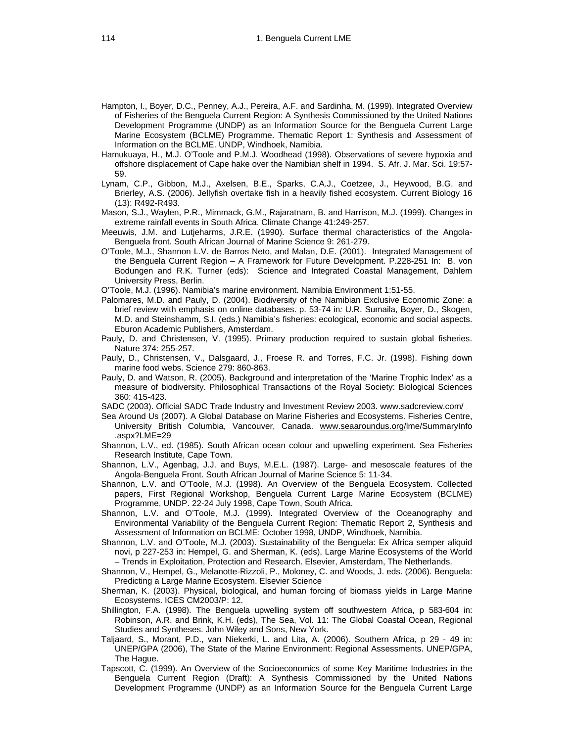- Hampton, I., Boyer, D.C., Penney, A.J., Pereira, A.F. and Sardinha, M. (1999). Integrated Overview of Fisheries of the Benguela Current Region: A Synthesis Commissioned by the United Nations Development Programme (UNDP) as an Information Source for the Benguela Current Large Marine Ecosystem (BCLME) Programme. Thematic Report 1: Synthesis and Assessment of Information on the BCLME. UNDP, Windhoek, Namibia.
- Hamukuaya, H., M.J. O'Toole and P.M.J. Woodhead (1998). Observations of severe hypoxia and offshore displacement of Cape hake over the Namibian shelf in 1994. S. Afr. J. Mar. Sci. 19:57- 59.
- Lynam, C.P., Gibbon, M.J., Axelsen, B.E., Sparks, C.A.J., Coetzee, J., Heywood, B.G. and Brierley, A.S. (2006). Jellyfish overtake fish in a heavily fished ecosystem. Current Biology 16 (13): R492-R493.
- Mason, S.J., Waylen, P.R., Mimmack, G.M., Rajaratnam, B. and Harrison, M.J. (1999). Changes in extreme rainfall events in South Africa. Climate Change 41:249-257.
- Meeuwis, J.M. and Lutjeharms, J.R.E. (1990). Surface thermal characteristics of the Angola-Benguela front. South African Journal of Marine Science 9: 261-279.
- O'Toole, M.J., Shannon L.V. de Barros Neto, and Malan, D.E. (2001). Integrated Management of the Benguela Current Region – A Framework for Future Development. P.228-251 In: B. von Bodungen and R.K. Turner (eds): Science and Integrated Coastal Management, Dahlem University Press, Berlin.
- O'Toole, M.J. (1996). Namibia's marine environment. Namibia Environment 1:51-55.
- Palomares, M.D. and Pauly, D. (2004). Biodiversity of the Namibian Exclusive Economic Zone: a brief review with emphasis on online databases. p. 53-74 in*:* U.R. Sumaila, Boyer, D., Skogen, M.D. and Steinshamm, S.I. (eds.) Namibia's fisheries: ecological, economic and social aspects. Eburon Academic Publishers, Amsterdam.
- Pauly, D. and Christensen, V. (1995). Primary production required to sustain global fisheries. Nature 374: 255-257.
- Pauly, D., Christensen, V., Dalsgaard, J., Froese R. and Torres, F.C. Jr. (1998). Fishing down marine food webs. Science 279: 860-863.
- Pauly, D. and Watson, R. (2005). Background and interpretation of the 'Marine Trophic Index' as a measure of biodiversity. Philosophical Transactions of the Royal Society: Biological Sciences 360: 415-423.
- SADC (2003). Official SADC Trade Industry and Investment Review 2003. www.sadcreview.com/
- Sea Around Us (2007). A Global Database on Marine Fisheries and Ecosystems. Fisheries Centre, University British Columbia, Vancouver, Canada. [www.seaaroundus.org/](http://www.seaaroundus.org/)lme/SummaryInfo .aspx?LME=29
- Shannon, L.V., ed. (1985). South African ocean colour and upwelling experiment. Sea Fisheries Research Institute, Cape Town.
- Shannon, L.V., Agenbag, J.J. and Buys, M.E.L. (1987). Large- and mesoscale features of the Angola-Benguela Front. South African Journal of Marine Science 5: 11-34.
- Shannon, L.V. and O'Toole, M.J. (1998). An Overview of the Benguela Ecosystem. Collected papers, First Regional Workshop, Benguela Current Large Marine Ecosystem (BCLME) Programme, UNDP. 22-24 July 1998, Cape Town, South Africa.
- Shannon, L.V. and O'Toole, M.J. (1999). Integrated Overview of the Oceanography and Environmental Variability of the Benguela Current Region: Thematic Report 2, Synthesis and Assessment of Information on BCLME: October 1998, UNDP, Windhoek, Namibia.
- Shannon, L.V. and O'Toole, M.J. (2003). Sustainability of the Benguela: Ex Africa semper aliquid novi, p 227-253 in: Hempel, G. and Sherman, K. (eds), Large Marine Ecosystems of the World – Trends in Exploitation, Protection and Research. Elsevier, Amsterdam, The Netherlands.
- Shannon, V., Hempel, G., Melanotte-Rizzoli, P., Moloney, C. and Woods, J. eds. (2006). Benguela: Predicting a Large Marine Ecosystem. Elsevier Science
- Sherman, K. (2003). Physical, biological, and human forcing of biomass yields in Large Marine Ecosystems. ICES CM2003/P: 12.
- Shillington, F.A. (1998). The Benguela upwelling system off southwestern Africa, p 583-604 in: Robinson, A.R. and Brink, K.H. (eds), The Sea, Vol. 11: The Global Coastal Ocean, Regional Studies and Syntheses. John Wiley and Sons, New York.
- Taljaard, S., Morant, P.D., van Niekerki, L. and Lita, A. (2006). Southern Africa, p 29 49 in: UNEP/GPA (2006), The State of the Marine Environment: Regional Assessments. UNEP/GPA, The Hague.
- Tapscott, C. (1999). An Overview of the Socioeconomics of some Key Maritime Industries in the Benguela Current Region (Draft): A Synthesis Commissioned by the United Nations Development Programme (UNDP) as an Information Source for the Benguela Current Large